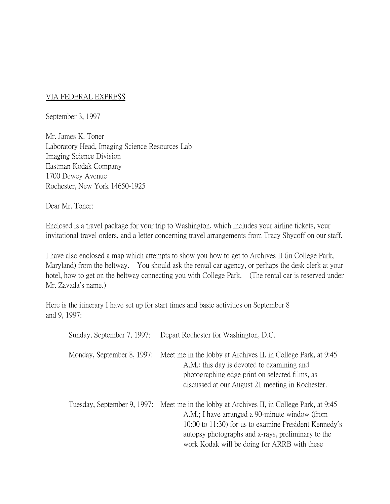## VIA FEDERAL EXPRESS

September 3, 1997

Mr. James K. Toner Laboratory Head, Imaging Science Resources Lab Imaging Science Division Eastman Kodak Company 1700 Dewey Avenue Rochester, New York 14650-1925

Dear Mr. Toner:

Enclosed is a travel package for your trip to Washington, which includes your airline tickets, your invitational travel orders, and a letter concerning travel arrangements from Tracy Shycoff on our staff.

I have also enclosed a map which attempts to show you how to get to Archives II (in College Park, Maryland) from the beltway. You should ask the rental car agency, or perhaps the desk clerk at your hotel, how to get on the beltway connecting you with College Park. (The rental car is reserved under Mr. Zavada's name.)

Here is the itinerary I have set up for start times and basic activities on September 8 and 9, 1997:

| Sunday, September 7, 1997:  | Depart Rochester for Washington, D.C.                                                                                                                                                                                                                                          |
|-----------------------------|--------------------------------------------------------------------------------------------------------------------------------------------------------------------------------------------------------------------------------------------------------------------------------|
| Monday, September 8, 1997:  | Meet me in the lobby at Archives II, in College Park, at 9:45<br>A.M.; this day is devoted to examining and<br>photographing edge print on selected films, as<br>discussed at our August 21 meeting in Rochester.                                                              |
| Tuesday, September 9, 1997: | Meet me in the lobby at Archives II, in College Park, at 9:45<br>A.M.; I have arranged a 90-minute window (from<br>10:00 to 11:30) for us to examine President Kennedy's<br>autopsy photographs and x-rays, preliminary to the<br>work Kodak will be doing for ARRB with these |